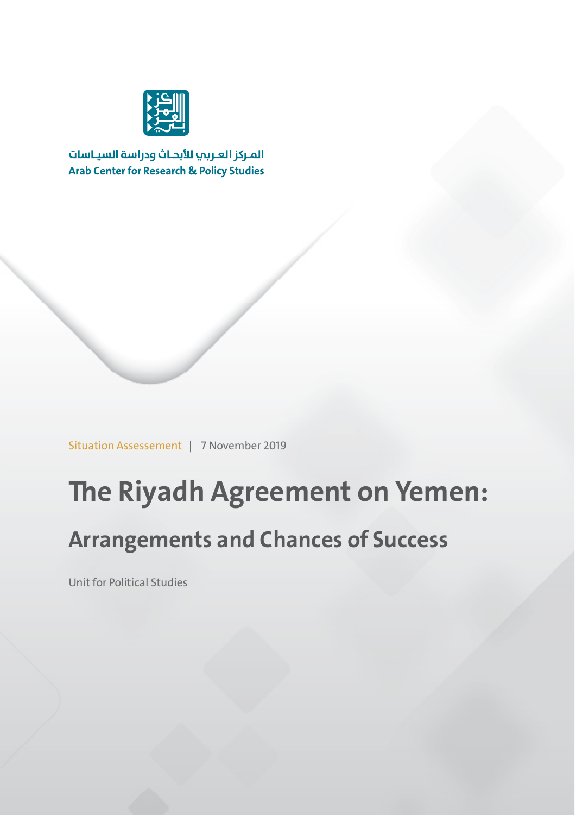

المركز العربب للأبحاث ودراسة السياسات **Arab Center for Research & Policy Studies** 

Situation Assessement | 7 November 2019

# **The Riyadh Agreement on Yemen:**

# **Arrangements and Chances of Success**

Unit for Political Studies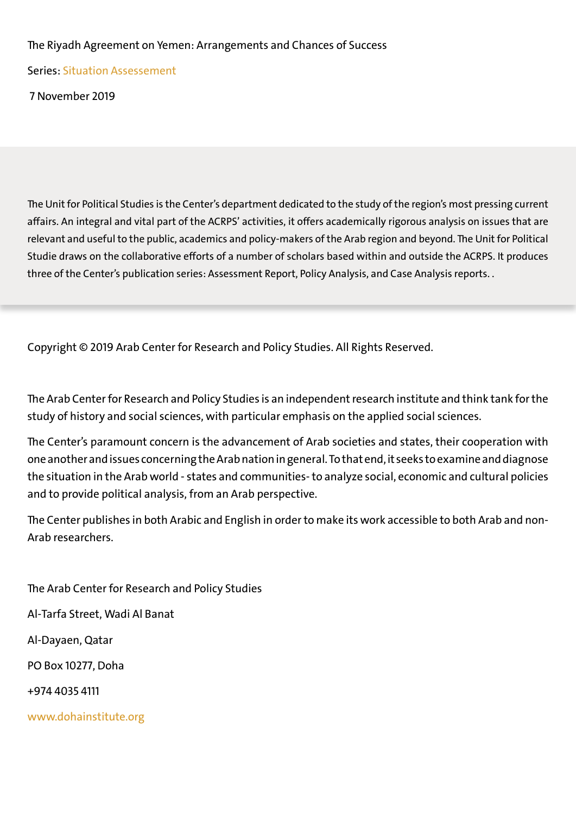#### The Riyadh Agreement on Yemen: Arrangements and Chances of Success

Series: Situation Assessement

7 November 2019

The Unit for Political Studies is the Center's department dedicated to the study of the region's most pressing current affairs. An integral and vital part of the ACRPS' activities, it offers academically rigorous analysis on issues that are relevant and useful to the public, academics and policy-makers of the Arab region and beyond. The Unit for Political Studie draws on the collaborative efforts of a number of scholars based within and outside the ACRPS. It produces three of the Center's publication series: Assessment Report, Policy Analysis, and Case Analysis reports. .

Copyright © 2019 Arab Center for Research and Policy Studies. All Rights Reserved.

The Arab Center for Research and Policy Studies is an independent research institute and think tank for the study of history and social sciences, with particular emphasis on the applied social sciences.

The Center's paramount concern is the advancement of Arab societies and states, their cooperation with one another and issues concerning the Arab nation in general.To that end, it seeks to examine and diagnose the situation in the Arab world - states and communities- to analyze social, economic and cultural policies and to provide political analysis, from an Arab perspective.

The Center publishes in both Arabic and English in order to make its work accessible to both Arab and non- Arab researchers.

The Arab Center for Research and Policy Studies Al-Tarfa Street, Wadi Al Banat Al-Dayaen, Qatar PO Box 10277, Doha +974 4035 4111 www.dohainstitute.org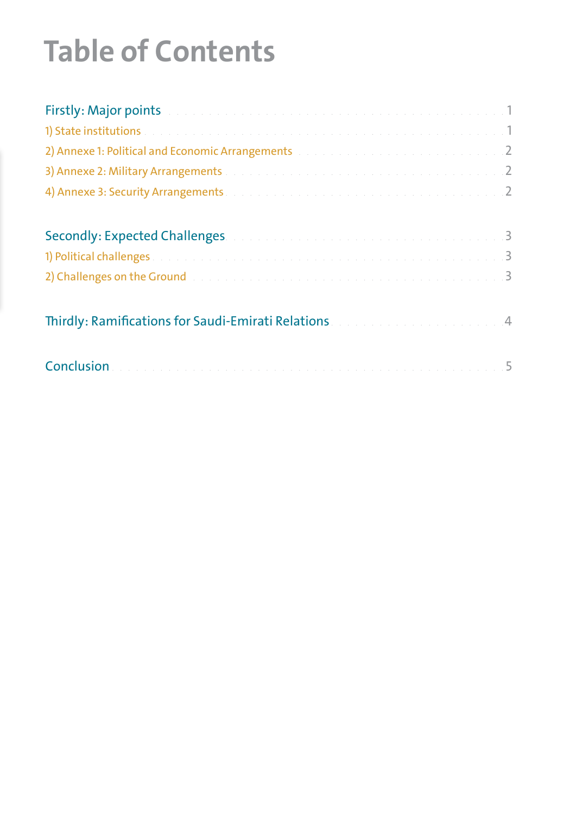# **Table of Contents**

| Firstly: Major points and a construction of the construction of the construction of 1                          |  |
|----------------------------------------------------------------------------------------------------------------|--|
|                                                                                                                |  |
| 2) Annexe 1: Political and Economic Arrangements and an annual and an arrangements of the second service and 2 |  |
| 3) Annexe 2: Military Arrangements and a construction of the construction of the construction of 2             |  |
| 4) Annexe 3: Security Arrangements and a construction of the construction of the construction of 2             |  |
| Secondly: Expected Challenges. A construction of the construction of the 1990-19                               |  |
|                                                                                                                |  |
| 2) Challenges on the Ground and a construction of the construction of the construction of 3                    |  |
| Thirdly: Ramifications for Saudi-Emirati Relations and an analyzing the state of 4                             |  |
|                                                                                                                |  |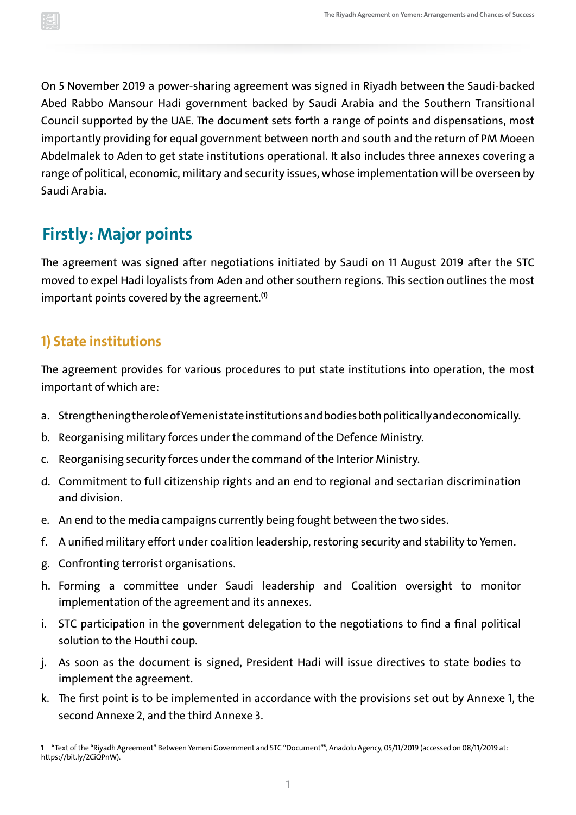<span id="page-3-0"></span>On 5 November 2019 a power-sharing agreement was signed in Riyadh between the Saudi-backed Abed Rabbo Mansour Hadi government backed by Saudi Arabia and the Southern Transitional Council supported by the UAE. The document sets forth a range of points and dispensations, most importantly providing for equal government between north and south and the return of PM Moeen Abdelmalek to Aden to get state institutions operational. It also includes three annexes covering a range of political, economic, military and security issues, whose implementation will be overseen by Saudi Arabia.

# **Firstly: Major points**

The agreement was signed after negotiations initiated by Saudi on 11 August 2019 after the STC moved to expel Hadi loyalists from Aden and other southern regions. This section outlines the most important points covered by the agreement. **(1)**

#### **1) State institutions**

The agreement provides for various procedures to put state institutions into operation, the most important of which are:

- a. Strengthening the role of Yemeni state institutions and bodiesboth politically and economically.
- b. Reorganising military forces under the command of the Defence Ministry.
- c.Reorganising security forces under the command of the Interior Ministry.
- d. Commitment to full citizenship rights and an end to regional and sectarian discrimination and division.
- e. An end to the media campaigns currently being fought between the two sides.
- f. A unified military effort under coalition leadership, restoring security and stability to Yemen.
- g. Confronting terrorist organisations.
- h. Forming a committee under Saudi leadership and Coalition oversight to monitor implementation of the agreement and its annexes.
- i. STC participation in the government delegation to the negotiations to find a final political solution to the Houthi coup.
- j. As soon as the document is signed, President Hadi will issue directives to state bodies to implement the agreement.
- k. The first point is to be implemented in accordance with the provisions set out by Annexe 1, the second Annexe 2, and the third Annexe 3.

**<sup>1</sup>** "Text of the "Riyadh Agreement" Between Yemeni Government and STC "Document"", Anadolu Agency, 05/11/2019 (accessed on 08/11/2019 at: [https://bit.ly/2CiQPnW\)](https://bit.ly/2CiQPnW).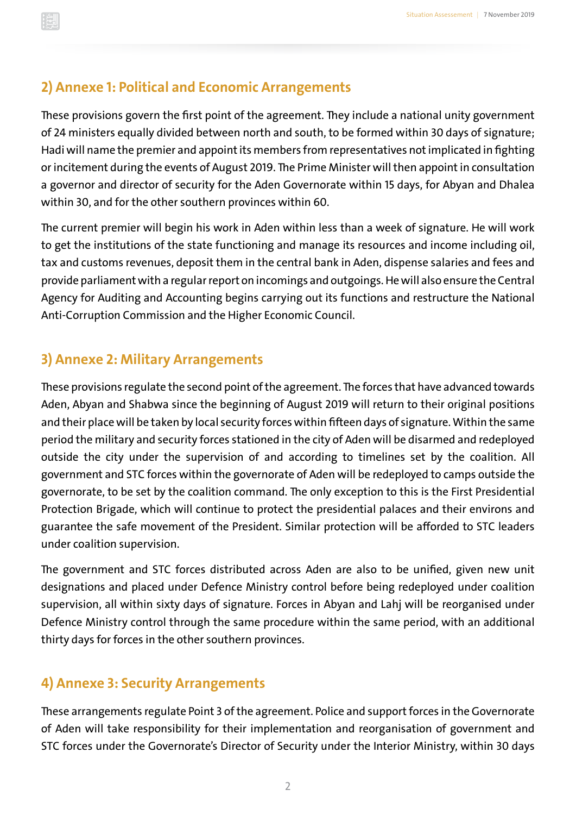#### <span id="page-4-0"></span>**2) Annexe 1: Political and Economic Arrangements**

These provisions govern the first point of the agreement. They include a national unity government of 24 ministers equally divided between north and south, to be formed within 30 days of signature; Hadi will name the premier and appoint its members from representatives not implicated in fighting or incitement during the events of August 2019. The Prime Minister will then appoint in consultation a governor and director of security for the Aden Governorate within 15 days, for Abyan and Dhalea within 30, and for the other southern provinces within 60.

The current premier will begin his work in Aden within less than a week of signature. He will work to get the institutions of the state functioning and manage its resources and income including oil, tax and customs revenues, deposit them in the central bank in Aden, dispense salaries and fees and provide parliament with a regular report on incomings and outgoings.He will also ensure the Central Agency for Auditing and Accounting begins carrying out its functions and restructure the National Anti-Corruption Commission and the Higher Economic Council.

#### **3) Annexe 2: Military Arrangements**

These provisions regulate the second point of the agreement. The forces that have advanced towards Aden, Abyan and Shabwa since the beginning of August 2019 will return to their original positions and their place will be taken by local security forces within fifteen days of signature. Within the same period the military and security forces stationed in the city of Aden will be disarmed and redeployed outside the city under the supervision of and according to timelines set by the coalition. All government and STC forces within the governorate of Aden will be redeployed to camps outside the governorate, to be set by the coalition command. The only exception to this is the First Presidential Protection Brigade, which will continue to protect the presidential palaces and their environs and guarantee the safe movement of the President. Similar protection will be afforded to STC leaders under coalition supervision.

The government and STC forces distributed across Aden are also to be unified, given new unit designations and placed under Defence Ministry control before being redeployed under coalition supervision, all within sixty days of signature. Forces in Abyan and Lahj will be reorganised under Defence Ministry control through the same procedure within the same period, with an additional thirty days for forces in the other southern provinces.

#### **4) Annexe 3: Security Arrangements**

These arrangements regulate Point 3 of the agreement. Police and support forces in the Governorate of Aden will take responsibility for their implementation and reorganisation of government and STC forces under the Governorate's Director of Security under the Interior Ministry, within 30 days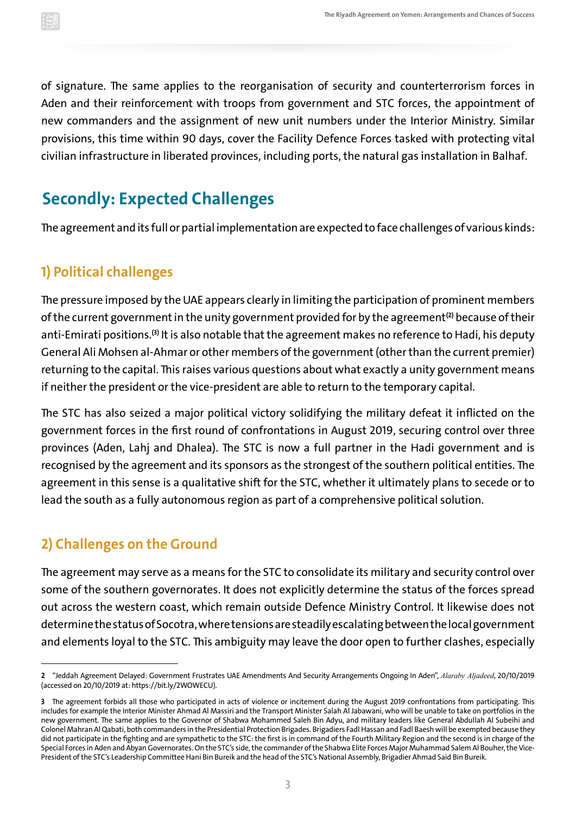<span id="page-5-0"></span>of signature. The same applies to the reorganisation of security and counterterrorism forces in Aden and their reinforcement with troops from government and STC forces, the appointment of new commanders and the assignment of new unit numbers under the Interior Ministry. Similar provisions, this time within 90 days, cover the Facility Defence Forces tasked with protecting vital civilian infrastructure in liberated provinces, including ports, the natural gas installation in Balhaf.

## **Secondly: Expected Challenges**

The agreement and its full or partial implementation are expected to face challenges of various kinds:

#### **1) Political challenges**

The pressure imposed by the UAE appears clearly in limiting the participation of prominent members of the current government in the unity government provided for by the agreement**(2)** because of their anti-Emirati positions.**(3)** It is also notable that the agreement makes no reference to Hadi, his deputy General Ali Mohsen al-Ahmar or other members of the government (other than the current premier) returning to the capital. This raises various questions about what exactly a unity government means if neither the president or the vice-president are able to return to the temporary capital.

The STC has also seized a major political victory solidifying the military defeat it inflicted on the government forces in the first round of confrontations in August 2019, securing control over three provinces (Aden, Lahj and Dhalea). The STC is now a full partner in the Hadi government and is recognised by the agreement and its sponsors as the strongest of the southern political entities. The agreement in this sense is a qualitative shift for the STC, whether it ultimately plans to secede or to lead the south as a fully autonomous region as part of a comprehensive political solution.

#### **2) Challenges on the Ground**

The agreement may serve as a means for the STC to consolidate its military and security control over some of the southern governorates. It does not explicitly determine the status of the forces spread out across the western coast, which remain outside Defence Ministry Control. It likewise does not determine the status of Socotra, where tensions are steadily escalating between the local government and elements loyal to the STC. This ambiguity may leave the door open to further clashes, especially

**<sup>2</sup>** "Jeddah Agreement Delayed: Government Frustrates UAE Amendments And Security Arrangements Ongoing In Aden", *Alaraby Aljadeed*, 20/10/2019 (accessed on 20/10/2019 at:<https://bit.ly/2WOWECU>).

**<sup>3</sup>** The agreement forbids all those who participated in acts of violence or incitement during the August 2019 confrontations from participating. This includes for example the Interior Minister Ahmad Al Massiri and the Transport Minister Salah Al Jabawani, who will be unable to take on portfolios in the new government. The same applies to the Governor of Shabwa Mohammed Saleh Bin Adyu, and military leaders like General Abdullah Al Subeihi and Colonel Mahran Al Qabati, both commanders in the Presidential Protection Brigades. Brigadiers FadlHassan and Fadl Baesh will be exempted because they did not participate in the fighting and are sympathetic to the STC: the first is in command of the Fourth Military Region and the second is in charge of the Special Forces in Aden and Abyan Governorates. On the STC's side, the commander of the Shabwa Elite Forces Major Muhammad Salem Al Bouher, the Vice-President of the STC's Leadership Committee Hani Bin Bureik and the head of the STC's National Assembly, Brigadier Ahmad Said Bin Bureik.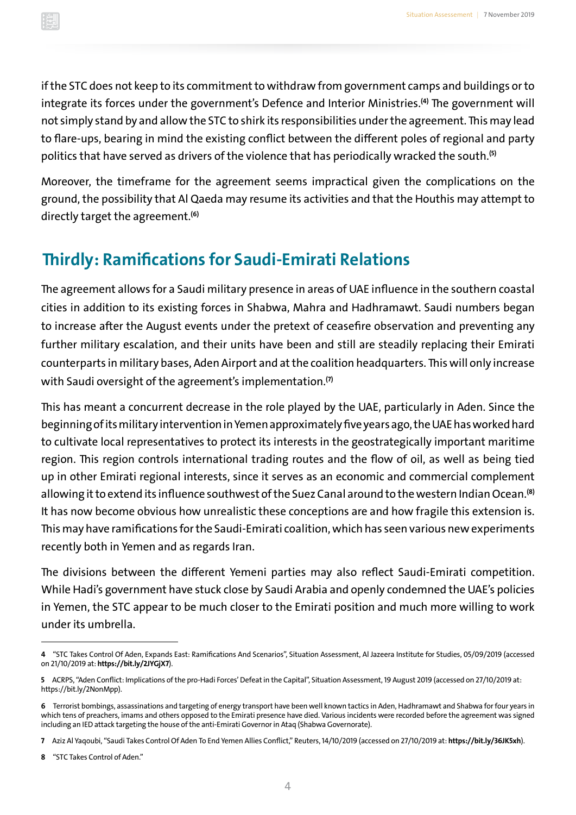<span id="page-6-0"></span>if the STC does not keep to its commitment to withdraw from government camps and buildings or to integrate its forces under the government's Defence and Interior Ministries.**(4)** The government will not simply stand by and allow the STC to shirk its responsibilities under the agreement. This may lead to flare-ups, bearing in mind the existing conflict between the different poles of regional and party politics that have served as drivers of the violence that has periodically wracked the south. **(5)**

Moreover, the timeframe for the agreement seems impractical given the complications on the ground, the possibility that Al Qaeda may resume its activities and that the Houthis may attempt to directly target the agreement. **(6)**

### **Thirdly: Ramifications for Saudi-Emirati Relations**

The agreement allows for a Saudi military presence in areas of UAE influence in the southern coastal cities in addition to its existing forces in Shabwa, Mahra and Hadhramawt. Saudi numbers began to increase after the August events under the pretext of ceasefire observation and preventing any further military escalation, and their units have been and still are steadily replacing their Emirati counterparts in military bases, Aden Airport and at the coalition headquarters. This will only increase with Saudi oversight of the agreement's implementation. **(7)**

This has meant a concurrent decrease in the role played by the UAE, particularly in Aden. Since the beginning of its military intervention in Yemen approximately five years ago, the UAE hasworked hard to cultivate local representatives to protect its interests in the geostrategically important maritime region. This region controls international trading routes and the flow of oil, as well as being tied up in other Emirati regional interests, since it serves as an economic and commercial complement allowing it to extend its influence southwest of the Suez Canal around to the western Indian Ocean. **(8)** It has now become obvious how unrealistic these conceptions are and how fragile this extension is. This may have ramifications for the Saudi-Emirati coalition,which has seen various new experiments recently both in Yemen and as regards Iran.

The divisions between the different Yemeni parties may also reflect Saudi-Emirati competition. While Hadi's government have stuck close by Saudi Arabia and openly condemned the UAE's policies in Yemen, the STC appear to be much closer to the Emirati position and much more willing to work under its umbrella.

**<sup>4</sup>** "STC Takes Control Of Aden, Expands East: Ramifications And Scenarios", Situation Assessment, Al Jazeera Institute for Studies, 05/09/2019 (accessed on 21/10/2019 at: **<https://bit.ly/2JYGjX7>**).

**<sup>5</sup>**ACRPS, "Aden Conflict: Implications of the pro-Hadi Forces' Defeat in the Capital", Situation Assessment,19 August 2019 (accessed on 27/10/2019 at: <https://bit.ly/2NonMpp>).

**<sup>6</sup>** Terrorist bombings, assassinations and targeting of energy transport have been well known tactics in Aden, Hadhramawt and Shabwa for four years in which tens of preachers, imams and others opposed to the Emirati presence have died. Various incidents were recorded before the agreement was signed including an IED attack targeting the house of the anti-Emirati Governor in Ataq (Shabwa Governorate).

**<sup>7</sup>**Aziz Al Yaqoubi, "Saudi Takes Control Of Aden To End Yemen Allies Conflict," Reuters,14/10/2019 (accessed on 27/10/2019 at: **<https://bit.ly/36JK5xh>**).

**<sup>8</sup>** "STC Takes Control of Aden."